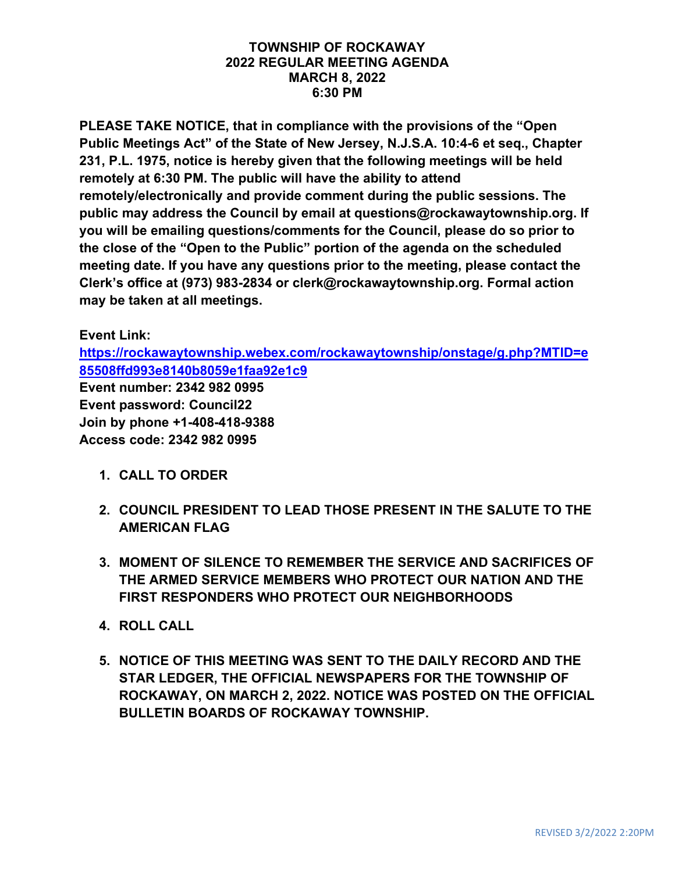#### **TOWNSHIP OF ROCKAWAY 2022 REGULAR MEETING AGENDA MARCH 8, 2022 6:30 PM**

**PLEASE TAKE NOTICE, that in compliance with the provisions of the "Open Public Meetings Act" of the State of New Jersey, N.J.S.A. 10:4-6 et seq., Chapter 231, P.L. 1975, notice is hereby given that the following meetings will be held remotely at 6:30 PM. The public will have the ability to attend remotely/electronically and provide comment during the public sessions. The public may address the Council by email at questions@rockawaytownship.org. If you will be emailing questions/comments for the Council, please do so prior to the close of the "Open to the Public" portion of the agenda on the scheduled meeting date. If you have any questions prior to the meeting, please contact the Clerk's office at (973) 983-2834 or clerk@rockawaytownship.org. Formal action may be taken at all meetings.**

#### **Event Link:**

**[https://rockawaytownship.webex.com/rockawaytownship/onstage/g.php?MTID=e](https://rockawaytownship.webex.com/rockawaytownship/onstage/g.php?MTID=e85508ffd993e8140b8059e1faa92e1c9) [85508ffd993e8140b8059e1faa92e1c9](https://rockawaytownship.webex.com/rockawaytownship/onstage/g.php?MTID=e85508ffd993e8140b8059e1faa92e1c9)**

**Event number: 2342 982 0995 Event password: Council22 Join by phone +1-408-418-9388 Access code: 2342 982 0995**

- **1. CALL TO ORDER**
- **2. COUNCIL PRESIDENT TO LEAD THOSE PRESENT IN THE SALUTE TO THE AMERICAN FLAG**
- **3. MOMENT OF SILENCE TO REMEMBER THE SERVICE AND SACRIFICES OF THE ARMED SERVICE MEMBERS WHO PROTECT OUR NATION AND THE FIRST RESPONDERS WHO PROTECT OUR NEIGHBORHOODS**
- **4. ROLL CALL**
- **5. NOTICE OF THIS MEETING WAS SENT TO THE DAILY RECORD AND THE STAR LEDGER, THE OFFICIAL NEWSPAPERS FOR THE TOWNSHIP OF ROCKAWAY, ON MARCH 2, 2022. NOTICE WAS POSTED ON THE OFFICIAL BULLETIN BOARDS OF ROCKAWAY TOWNSHIP.**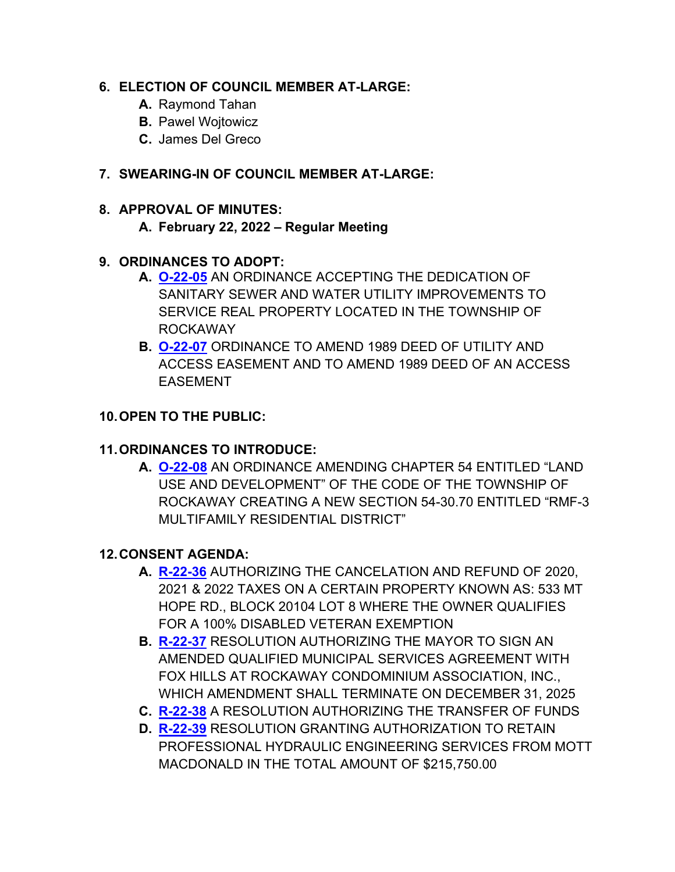#### **6. ELECTION OF COUNCIL MEMBER AT-LARGE:**

- **A.** Raymond Tahan
- **B.** Pawel Wojtowicz
- **C.** James Del Greco

### **7. SWEARING-IN OF COUNCIL MEMBER AT-LARGE:**

## **8. APPROVAL OF MINUTES:**

### **A. February 22, 2022 – Regular Meeting**

### **9. ORDINANCES TO ADOPT:**

- **A. [O-22-05](https://www.rockawaytownship.org/DocumentCenter/View/8127/O-22-05-01-31-22-Sewer-and-Water-Dedication-Ordinance-002)** AN ORDINANCE ACCEPTING THE DEDICATION OF SANITARY SEWER AND WATER UTILITY IMPROVEMENTS TO SERVICE REAL PROPERTY LOCATED IN THE TOWNSHIP OF ROCKAWAY
- **B. [O-22-07](https://www.rockawaytownship.org/DocumentCenter/View/8137/O-22-07-Amending-1080-Deed-of-Utility-and-Access-Easement-and-to-amend-a-1989-Deed-of-an-access-easement-for-22401---306-RK-Commons)** ORDINANCE TO AMEND 1989 DEED OF UTILITY AND ACCESS EASEMENT AND TO AMEND 1989 DEED OF AN ACCESS EASEMENT

### **10.OPEN TO THE PUBLIC:**

### **11.ORDINANCES TO INTRODUCE:**

**A. [O-22-08](https://www.rockawaytownship.org/DocumentCenter/View/8205/O-22-08-Draft-Ordinance-05)** AN ORDINANCE AMENDING CHAPTER 54 ENTITLED "LAND USE AND DEVELOPMENT" OF THE CODE OF THE TOWNSHIP OF ROCKAWAY CREATING A NEW SECTION 54-30.70 ENTITLED "RMF-3 MULTIFAMILY RESIDENTIAL DISTRICT"

### **12.CONSENT AGENDA:**

- **A. [R-22-36](https://www.rockawaytownship.org/DocumentCenter/View/8197/R-22-36-cancel-and-refund-reso)** AUTHORIZING THE CANCELATION AND REFUND OF 2020, 2021 & 2022 TAXES ON A CERTAIN PROPERTY KNOWN AS: 533 MT HOPE RD., BLOCK 20104 LOT 8 WHERE THE OWNER QUALIFIES FOR A 100% DISABLED VETERAN EXEMPTION
- **B. [R-22-37](https://www.rockawaytownship.org/DocumentCenter/View/8198/R-22-37-Resolution-Authorizing-Signature-of-Amended-Qualified-MSA-with-Fox-Hills)** RESOLUTION AUTHORIZING THE MAYOR TO SIGN AN AMENDED QUALIFIED MUNICIPAL SERVICES AGREEMENT WITH FOX HILLS AT ROCKAWAY CONDOMINIUM ASSOCIATION, INC., WHICH AMENDMENT SHALL TERMINATE ON DECEMBER 31, 2025
- **C. [R-22-38](https://www.rockawaytownship.org/DocumentCenter/View/8199/R-22-38-Copy-of-Transfer-Resolution---2021-Appropriation-Reserves)** A RESOLUTION AUTHORIZING THE TRANSFER OF FUNDS
- **D. [R-22-39](https://www.rockawaytownship.org/DocumentCenter/View/8200/R-22-39-02-28-22-Hydraulic-Engineering-Resolution)** RESOLUTION GRANTING AUTHORIZATION TO RETAIN PROFESSIONAL HYDRAULIC ENGINEERING SERVICES FROM MOTT MACDONALD IN THE TOTAL AMOUNT OF \$215,750.00